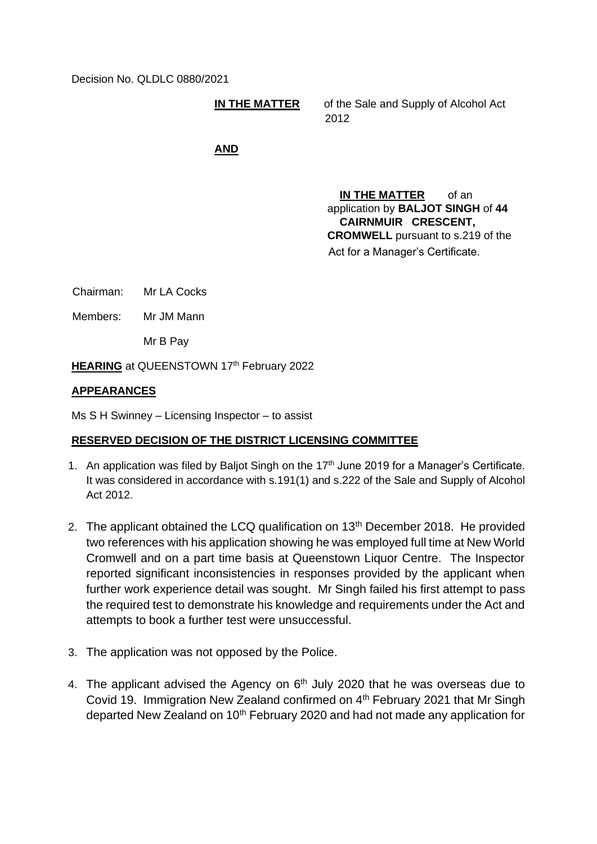Decision No. QLDLC 0880/2021

**IN THE MATTER** of the Sale and Supply of Alcohol Act 2012

## **AND**

**IN THE MATTER** of an application by **BALJOT SINGH** of **44 CAIRNMUIR CRESCENT, CROMWELL** pursuant to s.219 of the Act for a Manager's Certificate.

Chairman: Mr LA Cocks

Members: Mr JM Mann

Mr B Pay

**HEARING** at QUEENSTOWN 17<sup>th</sup> February 2022

## **APPEARANCES**

Ms S H Swinney – Licensing Inspector – to assist

## **RESERVED DECISION OF THE DISTRICT LICENSING COMMITTEE**

- 1. An application was filed by Baljot Singh on the 17<sup>th</sup> June 2019 for a Manager's Certificate. It was considered in accordance with s.191(1) and s.222 of the Sale and Supply of Alcohol Act 2012.
- 2. The applicant obtained the LCQ qualification on  $13<sup>th</sup>$  December 2018. He provided two references with his application showing he was employed full time at New World Cromwell and on a part time basis at Queenstown Liquor Centre. The Inspector reported significant inconsistencies in responses provided by the applicant when further work experience detail was sought. Mr Singh failed his first attempt to pass the required test to demonstrate his knowledge and requirements under the Act and attempts to book a further test were unsuccessful.
- 3. The application was not opposed by the Police.
- 4. The applicant advised the Agency on  $6<sup>th</sup>$  July 2020 that he was overseas due to Covid 19. Immigration New Zealand confirmed on 4<sup>th</sup> February 2021 that Mr Singh departed New Zealand on 10<sup>th</sup> February 2020 and had not made any application for